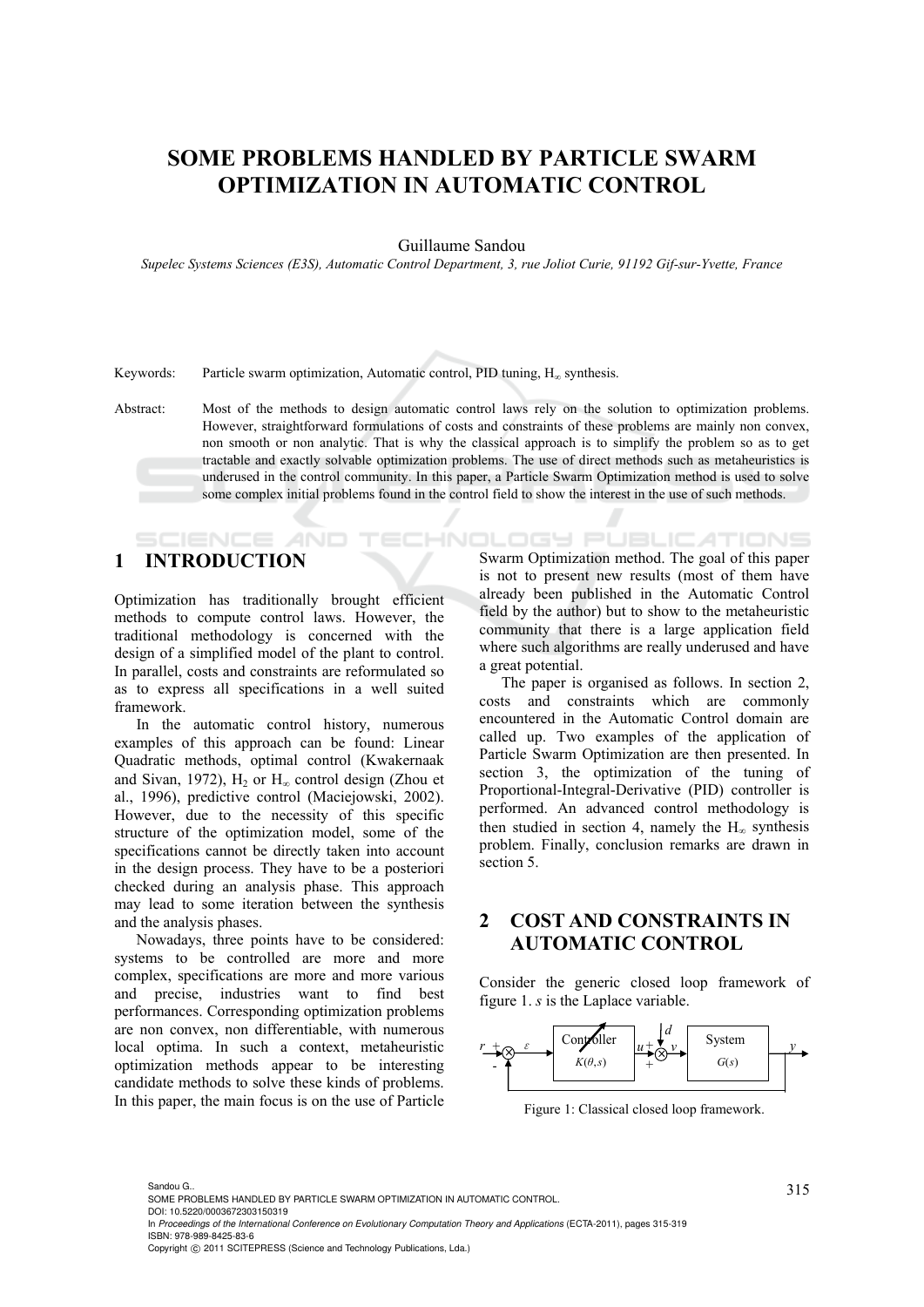## **SOME PROBLEMS HANDLED BY PARTICLE SWARM OPTIMIZATION IN AUTOMATIC CONTROL**

Guillaume Sandou

*Supelec Systems Sciences (E3S), Automatic Control Department, 3, rue Joliot Curie, 91192 Gif-sur-Yvette, France* 

Keywords: Particle swarm optimization, Automatic control, PID tuning,  $H_{\infty}$  synthesis.

Abstract: Most of the methods to design automatic control laws rely on the solution to optimization problems. However, straightforward formulations of costs and constraints of these problems are mainly non convex, non smooth or non analytic. That is why the classical approach is to simplify the problem so as to get tractable and exactly solvable optimization problems. The use of direct methods such as metaheuristics is underused in the control community. In this paper, a Particle Swarm Optimization method is used to solve some complex initial problems found in the control field to show the interest in the use of such methods.

## **1 INTRODUCTION**

Optimization has traditionally brought efficient methods to compute control laws. However, the traditional methodology is concerned with the design of a simplified model of the plant to control. In parallel, costs and constraints are reformulated so as to express all specifications in a well suited framework.

In the automatic control history, numerous examples of this approach can be found: Linear Quadratic methods, optimal control (Kwakernaak and Sivan, 1972),  $H_2$  or  $H_{\infty}$  control design (Zhou et al., 1996), predictive control (Maciejowski, 2002). However, due to the necessity of this specific structure of the optimization model, some of the specifications cannot be directly taken into account in the design process. They have to be a posteriori checked during an analysis phase. This approach may lead to some iteration between the synthesis and the analysis phases.

Nowadays, three points have to be considered: systems to be controlled are more and more complex, specifications are more and more various and precise, industries want to find best performances. Corresponding optimization problems are non convex, non differentiable, with numerous local optima. In such a context, metaheuristic optimization methods appear to be interesting candidate methods to solve these kinds of problems. In this paper, the main focus is on the use of Particle

.ogy Pl **ATIONS** Swarm Optimization method. The goal of this paper is not to present new results (most of them have already been published in the Automatic Control field by the author) but to show to the metaheuristic community that there is a large application field where such algorithms are really underused and have a great potential.

The paper is organised as follows. In section 2, costs and constraints which are commonly encountered in the Automatic Control domain are called up. Two examples of the application of Particle Swarm Optimization are then presented. In section 3, the optimization of the tuning of Proportional-Integral-Derivative (PID) controller is performed. An advanced control methodology is then studied in section 4, namely the  $H_{\infty}$  synthesis problem. Finally, conclusion remarks are drawn in section 5.

## **2 COST AND CONSTRAINTS IN AUTOMATIC CONTROL**

Consider the generic closed loop framework of figure 1. *s* is the Laplace variable.



Figure 1: Classical closed loop framework.

<sup>315</sup> Sandou G.. SOME PROBLEMS HANDLED BY PARTICLE SWARM OPTIMIZATION IN AUTOMATIC CONTROL. DOI: 10.5220/0003672303150319

In *Proceedings of the International Conference on Evolutionary Computation Theory and Applications* (ECTA-2011), pages 315-319 ISBN: 978-989-8425-83-6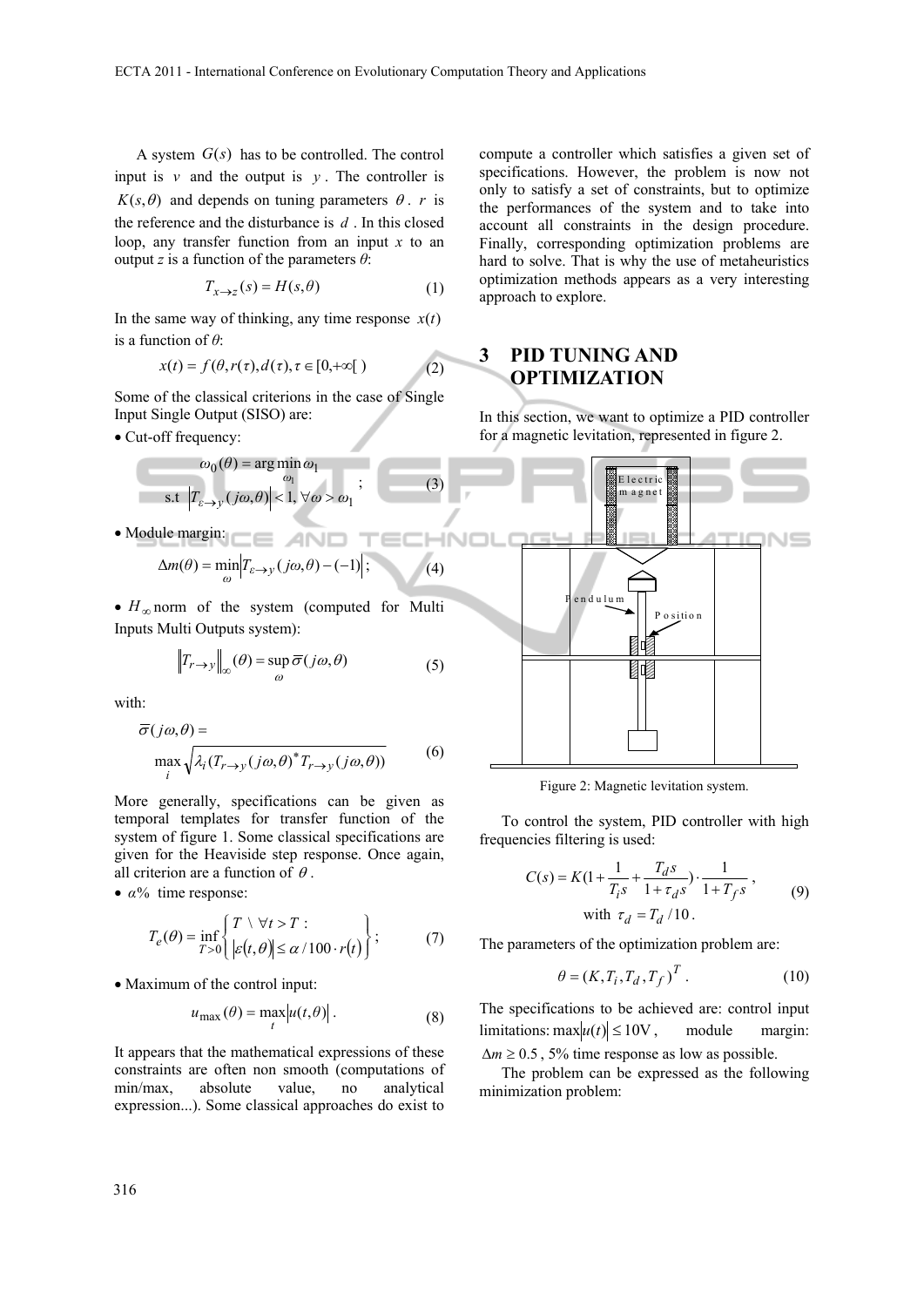A system *G*(*s*) has to be controlled. The control input is  $v$  and the output is  $v$ . The controller is  $K(s, \theta)$  and depends on tuning parameters  $\theta$ , *r* is the reference and the disturbance is *d* . In this closed loop, any transfer function from an input *x* to an output *z* is a function of the parameters *θ*:

$$
T_{x \to z}(s) = H(s, \theta)
$$
 (1)

In the same way of thinking, any time response  $x(t)$ is a function of *θ*:

$$
x(t) = f(\theta, r(\tau), d(\tau), \tau \in [0, +\infty[)
$$
 (2)

Some of the classical criterions in the case of Single Input Single Output (SISO) are:

• Cut-off frequency:

×

$$
\omega_0(\theta) = \arg\min_{\omega_1} \omega_1
$$
  
s.t  $|T_{\varepsilon \to y}(j\omega, \theta)| < 1, \forall \omega > \omega_1$ ;  
solution

Module margin:

$$
\Delta m(\theta) = \min_{\omega} \left| T_{\varepsilon \to y} (j\omega, \theta) - (-1) \right|; \tag{4}
$$

 $\bullet$   $H_{\infty}$  norm of the system (computed for Multi Inputs Multi Outputs system):

$$
\left\|T_{r\to y}\right\|_{\infty}(\theta) = \sup_{\omega}\overline{\sigma}(j\omega,\theta)
$$
 (5)

with:

$$
\overline{\sigma}(j\omega,\theta) = \max_{i} \sqrt{\lambda_i (T_{r \to y} (j\omega,\theta))^* T_{r \to y} (j\omega,\theta))}
$$
(6)

More generally, specifications can be given as temporal templates for transfer function of the system of figure 1. Some classical specifications are given for the Heaviside step response. Once again, all criterion are a function of  $\theta$ .

 $\bullet$   $\alpha$ % time response:

$$
T_e(\theta) = \inf_{T>0} \left\{ \begin{aligned} T &\setminus \forall t > T: \\ \left| \varepsilon(t,\theta) \right| &\le \alpha/100 \cdot r(t) \end{aligned} \right\};\tag{7}
$$

• Maximum of the control input:

$$
u_{\max}(\theta) = \max_{t} |u(t, \theta)|.
$$
 (8)

It appears that the mathematical expressions of these constraints are often non smooth (computations of min/max, absolute value, no analytical expression...). Some classical approaches do exist to

compute a controller which satisfies a given set of specifications. However, the problem is now not only to satisfy a set of constraints, but to optimize the performances of the system and to take into account all constraints in the design procedure. Finally, corresponding optimization problems are hard to solve. That is why the use of metaheuristics optimization methods appears as a very interesting approach to explore.

## **3 PID TUNING AND OPTIMIZATION**

In this section, we want to optimize a PID controller for a magnetic levitation, represented in figure 2.



Figure 2: Magnetic levitation system.

To control the system, PID controller with high frequencies filtering is used:

$$
C(s) = K(1 + \frac{1}{T_{i}s} + \frac{T_{d}s}{1 + \tau_{d}s}) \cdot \frac{1}{1 + T_{f}s},
$$
  
with  $\tau_{d} = T_{d}/10$ . (9)

The parameters of the optimization problem are:

$$
\theta = (K, T_i, T_d, T_f)^T. \tag{10}
$$

The specifications to be achieved are: control input limitations:  $\max|u(t)| \le 10V$ , module margin:  $\Delta m \geq 0.5$ , 5% time response as low as possible.

The problem can be expressed as the following minimization problem: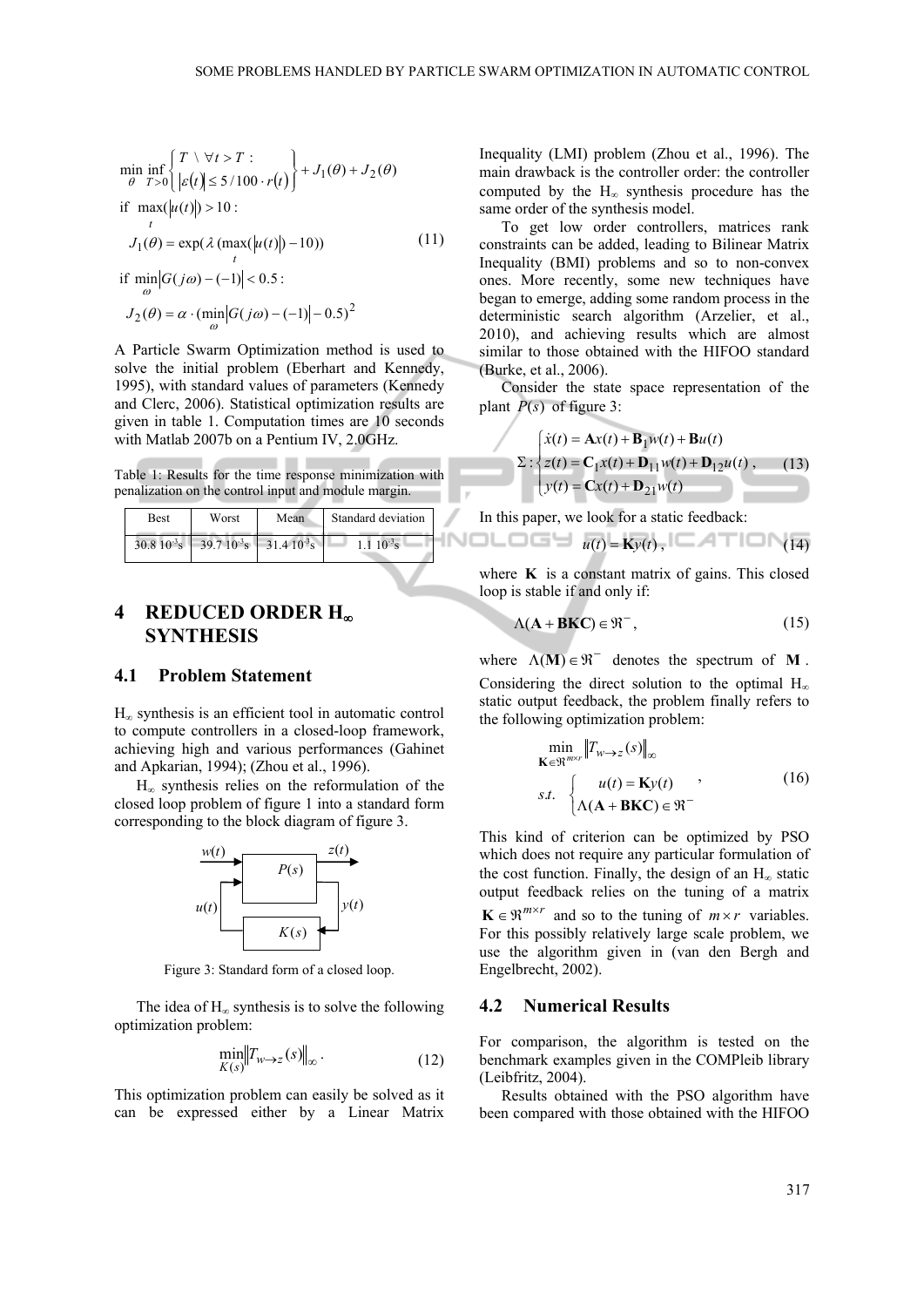$$
\min_{\theta} \inf_{T>0} \left\{ \begin{aligned} &T \setminus \forall t > T: \\ &\theta \quad T > 0 \quad \left| \varepsilon(t) \right| \leq 5/100 \cdot r(t) \end{aligned} \right\} + J_1(\theta) + J_2(\theta)
$$
\n
$$
\text{if } \max_{t} (\left| u(t) \right|) > 10: \\ &J_1(\theta) = \exp(\lambda \left( \max_{t} (\left| u(t) \right|) - 10) \right) \qquad (11)
$$
\n
$$
\text{if } \min_{\omega} |G(j\omega) - (-1)| < 0.5: \\ &J_2(\theta) = \alpha \cdot (\min_{\omega} |G(j\omega) - (-1)| - 0.5)^2
$$

A Particle Swarm Optimization method is used to solve the initial problem (Eberhart and Kennedy, 1995), with standard values of parameters (Kennedy and Clerc, 2006). Statistical optimization results are given in table 1. Computation times are 10 seconds with Matlab 2007b on a Pentium IV, 2.0GHz.

Table 1: Results for the time response minimization with penalization on the control input and module margin.

| <b>Best</b> | Worst                                          | Mean | Standard deviation  |  |
|-------------|------------------------------------------------|------|---------------------|--|
|             | $30.810^{3}$ s 39.7 $10^{3}$ s 31.4 $10^{3}$ s |      | $1 \cdot 10^{-3}$ s |  |

### **4 REDUCED ORDER H SYNTHESIS**

#### **4.1 Problem Statement**

 $H_{\infty}$  synthesis is an efficient tool in automatic control to compute controllers in a closed-loop framework, achieving high and various performances (Gahinet and Apkarian, 1994); (Zhou et al., 1996).

 $H_{\infty}$  synthesis relies on the reformulation of the closed loop problem of figure 1 into a standard form corresponding to the block diagram of figure 3.



Figure 3: Standard form of a closed loop.

The idea of  $H_{\infty}$  synthesis is to solve the following optimization problem:

$$
\min_{K(s)} \left\| T_{w \to z}(s) \right\|_{\infty}.
$$
\n(12)

This optimization problem can easily be solved as it can be expressed either by a Linear Matrix

Inequality (LMI) problem (Zhou et al., 1996). The main drawback is the controller order: the controller computed by the  $H_{\infty}$  synthesis procedure has the same order of the synthesis model.

To get low order controllers, matrices rank constraints can be added, leading to Bilinear Matrix Inequality (BMI) problems and so to non-convex ones. More recently, some new techniques have began to emerge, adding some random process in the deterministic search algorithm (Arzelier, et al., 2010), and achieving results which are almost similar to those obtained with the HIFOO standard (Burke, et al., 2006).

Consider the state space representation of the plant  $P(s)$  of figure 3:

$$
\Sigma: \begin{cases} \dot{x}(t) = \mathbf{A}x(t) + \mathbf{B}_1 w(t) + \mathbf{B}u(t) \\ z(t) = \mathbf{C}_1 x(t) + \mathbf{D}_{11} w(t) + \mathbf{D}_{12} u(t) \\ y(t) = \mathbf{C}x(t) + \mathbf{D}_{21} w(t) \end{cases}
$$
(13)

In this paper, we look for a static feedback:

$$
N \square \square \square \blacksquare \blacksquare \text{ u}(t) = \text{K} \text{y}(t), \square \blacktriangle \top \square \text{ y}(14)
$$

where  $\bf{K}$  is a constant matrix of gains. This closed loop is stable if and only if:

$$
\Lambda(\mathbf{A} + \mathbf{B}\mathbf{K}\mathbf{C}) \in \mathfrak{R}^-,\tag{15}
$$

where  $\Lambda(\mathbf{M}) \in \mathcal{R}^-$  denotes the spectrum of **M**. Considering the direct solution to the optimal  $H_{\infty}$ static output feedback, the problem finally refers to the following optimization problem:

$$
\min_{\mathbf{K} \in \mathfrak{R}^{m \times r}} \|T_{w \to z}(s)\|_{\infty}
$$
\n
$$
s.t. \begin{cases} u(t) = \mathbf{K}y(t) \\ \Lambda(\mathbf{A} + \mathbf{B}\mathbf{K}\mathbf{C}) \in \mathfrak{R}^- \end{cases} (16)
$$

This kind of criterion can be optimized by PSO which does not require any particular formulation of the cost function. Finally, the design of an  $H_{\infty}$  static output feedback relies on the tuning of a matrix  $\mathbf{K} \in \mathbb{R}^{m \times r}$  and so to the tuning of  $m \times r$  variables. For this possibly relatively large scale problem, we use the algorithm given in (van den Bergh and Engelbrecht, 2002).

#### **4.2 Numerical Results**

For comparison, the algorithm is tested on the benchmark examples given in the COMPleib library (Leibfritz, 2004).

Results obtained with the PSO algorithm have been compared with those obtained with the HIFOO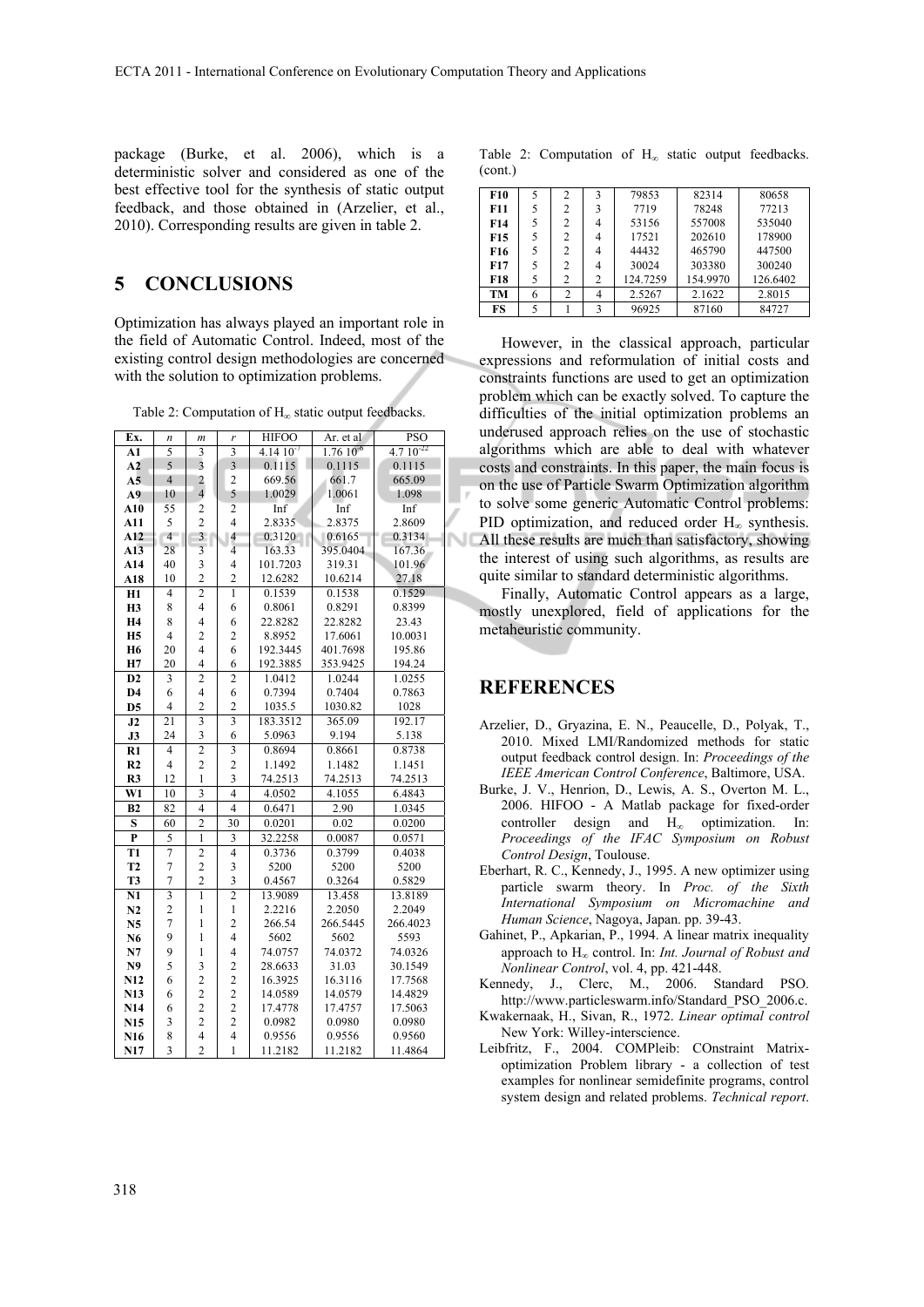package (Burke, et al. 2006), which is a deterministic solver and considered as one of the best effective tool for the synthesis of static output feedback, and those obtained in (Arzelier, et al., 2010). Corresponding results are given in table 2.

## **5 CONCLUSIONS**

Optimization has always played an important role in the field of Automatic Control. Indeed, most of the existing control design methodologies are concerned with the solution to optimization problems.

Table 2: Computation of  $H_{\infty}$  static output feedbacks.

| Ex.                     | n                       | $\mathfrak{m}$          | r                        | <b>HIFOO</b>  | Ar. et al         | <b>PSO</b>    |
|-------------------------|-------------------------|-------------------------|--------------------------|---------------|-------------------|---------------|
| A1                      | 5                       | 3                       | $\overline{3}$           | $4.1410^{-7}$ | $1.76 \, 10^{-6}$ | $4.710^{-22}$ |
| A2                      | 5                       | $\overline{3}$          | $\overline{3}$           | 0.1115        | 0.1115            | 0.1115        |
| A <sub>5</sub>          | $\overline{4}$          | $\overline{\mathbf{c}}$ | $\overline{c}$           | 669.56        | 661.7             | 665.09        |
| A9                      | 10                      | $\overline{4}$          | 5                        | 1.0029        | 1.0061            | 1.098         |
| A10                     | 55                      | $\overline{c}$          | $\overline{c}$           | Inf           | Inf               | Inf           |
| A11                     | 5                       | $\overline{c}$          | $\overline{\mathcal{L}}$ | 2.8335        | 2.8375            | 2.8609        |
| A12                     | $\overline{4}$          | $\overline{\mathbf{3}}$ | 4                        | 0.3120        | 0.6165            | 0.3134        |
| A13                     | 28                      | $\overline{\mathbf{3}}$ | $\overline{4}$           | 163.33        | 395.0404          | 167.36        |
| A14                     | 40                      | 3                       | $\overline{4}$           | 101.7203      | 319.31            | 101.96        |
| A18                     | 10                      | $\overline{c}$          | $\overline{c}$           | 12.6282       | 10.6214           | 27.18         |
| H1                      | $\overline{4}$          | $\overline{2}$          | $\overline{1}$           | 0.1539        | 0.1538            | 0.1529        |
| <b>H3</b>               | 8                       | $\overline{4}$          | 6                        | 0.8061        | 0.8291            | 0.8399        |
| <b>H4</b>               | 8                       | $\overline{4}$          | 6                        | 22.8282       | 22.8282           | 23.43         |
| <b>H5</b>               | $\overline{4}$          | $\overline{c}$          | $\overline{c}$           | 8.8952        | 17.6061           | 10.0031       |
| H <sub>6</sub>          | 20                      | $\overline{4}$          | 6                        | 192.3445      | 401.7698          | 195.86        |
| H7                      | 20                      | $\overline{4}$          | 6                        | 192.3885      | 353.9425          | 194.24        |
| D2                      | 3                       | $\overline{2}$          | $\overline{c}$           | 1.0412        | 1.0244            | 1.0255        |
| D <sub>4</sub>          | 6                       | $\overline{4}$          | 6                        | 0.7394        | 0.7404            | 0.7863        |
| D <sub>5</sub>          | $\overline{4}$          | $\overline{c}$          | $\overline{c}$           | 1035.5        | 1030.82           | 1028          |
| J2                      | 21                      | $\overline{\mathbf{3}}$ | $\overline{\mathbf{3}}$  | 183.3512      | 365.09            | 192.17        |
| J3                      | 24                      | $\overline{\mathbf{3}}$ | 6                        | 5.0963        | 9.194             | 5.138         |
| $R1$                    | 4                       | $\overline{2}$          | 3                        | 0.8694        | 0.8661            | 0.8738        |
| R2                      | $\overline{4}$          | $\overline{2}$          | $\overline{2}$           | 1.1492        | 1.1482            | 1.1451        |
| R3                      | 12                      | $\mathbf{1}$            | 3                        | 74.2513       | 74.2513           | 74.2513       |
| W1                      | 10                      | $\overline{\mathbf{3}}$ | 4                        | 4.0502        | 4.1055            | 6.4843        |
| B <sub>2</sub>          | 82                      | $\overline{4}$          | 4                        | 0.6471        | 2.90              | 1.0345        |
| ${\bf S}$               | 60                      | $\overline{2}$          | 30                       | 0.0201        | 0.02              | 0.0200        |
| $\overline{\mathbf{P}}$ | 5                       | $\overline{1}$          | $\overline{\mathbf{3}}$  | 32.2258       | 0.0087            | 0.0571        |
| T <sub>1</sub>          | 7                       | $\overline{2}$          | $\overline{4}$           | 0.3736        | 0.3799            | 0.4038        |
| T <sub>2</sub>          | $\overline{7}$          | $\overline{c}$          | 3                        | 5200          | 5200              | 5200          |
| T3                      | $\overline{7}$          | $\overline{c}$          | $\overline{\mathbf{3}}$  | 0.4567        | 0.3264            | 0.5829        |
| N1                      | $\overline{\mathbf{3}}$ | $\overline{1}$          | $\overline{2}$           | 13.9089       | 13.458            | 13.8189       |
| N2                      | $\overline{c}$          | 1                       | $\mathbf{1}$             | 2.2216        | 2.2050            | 2.2049        |
| N <sub>5</sub>          | $\overline{7}$          | $\mathbf{1}$            | $\overline{c}$           | 266.54        | 266.5445          | 266.4023      |
| N6                      | 9                       | $\mathbf{1}$            | $\overline{4}$           | 5602          | 5602              | 5593          |
| N7                      | 9                       | 1                       | $\overline{4}$           | 74.0757       | 74.0372           | 74.0326       |
| N9                      | 5                       | 3                       | $\overline{\mathbf{c}}$  | 28.6633       | 31.03             | 30.1549       |
| N12                     | 6                       | $\overline{c}$          | $\overline{c}$           | 16.3925       | 16.3116           | 17.7568       |
| N13                     | 6                       | $\overline{c}$          | $\overline{c}$           | 14.0589       | 14.0579           | 14.4829       |
| N14                     | 6                       | $\overline{c}$          | $\overline{c}$           | 17.4778       | 17.4757           | 17.5063       |
| N <sub>15</sub>         | $\overline{\mathbf{3}}$ | $\overline{c}$          | $\overline{c}$           | 0.0982        | 0.0980            | 0.0980        |
| N <sub>16</sub>         | 8                       | $\overline{4}$          | $\overline{\mathbf{4}}$  | 0.9556        | 0.9556            | 0.9560        |
| N17                     | 3                       | $\overline{2}$          | 1                        | 11.2182       | 11.2182           | 11.4864       |

Table 2: Computation of  $H_{\infty}$  static output feedbacks. (cont.)

| F <sub>10</sub> | 5 | 2 | 3              | 79853    | 82314    | 80658    |
|-----------------|---|---|----------------|----------|----------|----------|
| F11             | 5 | 2 | 3              | 7719     | 78248    | 77213    |
| F14             | 5 | 2 | 4              | 53156    | 557008   | 535040   |
| F <sub>15</sub> | 5 | 2 | 4              | 17521    | 202610   | 178900   |
| F16             | 5 | 2 | 4              | 44432    | 465790   | 447500   |
| F17             | 5 | 2 | 4              | 30024    | 303380   | 300240   |
| <b>F18</b>      | 5 | 2 | $\overline{c}$ | 124.7259 | 154.9970 | 126.6402 |
| TM              | 6 | 2 | 4              | 2.5267   | 2.1622   | 2.8015   |
| FS              | 5 |   | ٦              | 96925    | 87160    | 84727    |

However, in the classical approach, particular expressions and reformulation of initial costs and constraints functions are used to get an optimization problem which can be exactly solved. To capture the difficulties of the initial optimization problems an underused approach relies on the use of stochastic algorithms which are able to deal with whatever costs and constraints. In this paper, the main focus is on the use of Particle Swarm Optimization algorithm to solve some generic Automatic Control problems: PID optimization, and reduced order  $H_{\infty}$  synthesis. All these results are much than satisfactory, showing the interest of using such algorithms, as results are quite similar to standard deterministic algorithms.

Finally, Automatic Control appears as a large, mostly unexplored, field of applications for the metaheuristic community.

## **REFERENCES**

- Arzelier, D., Gryazina, E. N., Peaucelle, D., Polyak, T., 2010. Mixed LMI/Randomized methods for static output feedback control design. In: *Proceedings of the IEEE American Control Conference*, Baltimore, USA.
- Burke, J. V., Henrion, D., Lewis, A. S., Overton M. L., 2006. HIFOO - A Matlab package for fixed-order controller design and  $H_{\infty}$  optimization. In: *Proceedings of the IFAC Symposium on Robust Control Design*, Toulouse.
- Eberhart, R. C., Kennedy, J., 1995. A new optimizer using particle swarm theory. In *Proc. of the Sixth International Symposium on Micromachine and Human Science*, Nagoya, Japan. pp. 39-43.
- Gahinet, P., Apkarian, P., 1994. A linear matrix inequality approach to H<sub>∞</sub> control. In: *Int. Journal of Robust and Nonlinear Control*, vol. 4, pp. 421-448.
- Kennedy, J., Clerc, M., 2006. Standard PSO. http://www.particleswarm.info/Standard\_PSO\_2006.c.
- Kwakernaak, H., Sivan, R., 1972. *Linear optimal control* New York: Willey-interscience.
- Leibfritz, F., 2004. COMPleib: COnstraint Matrixoptimization Problem library - a collection of test examples for nonlinear semidefinite programs, control system design and related problems. *Technical report*.